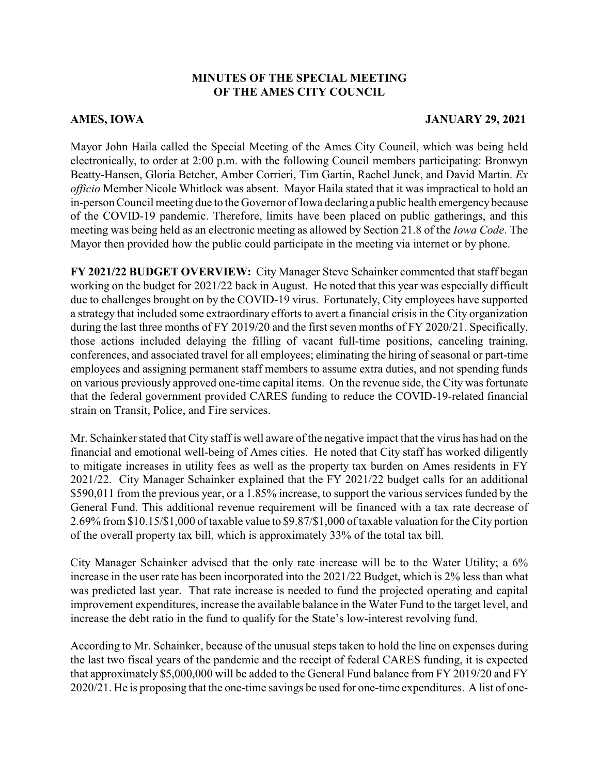## **MINUTES OF THE SPECIAL MEETING OF THE AMES CITY COUNCIL**

## **AMES, IOWA JANUARY 29, 2021**

Mayor John Haila called the Special Meeting of the Ames City Council, which was being held electronically, to order at 2:00 p.m. with the following Council members participating: Bronwyn Beatty-Hansen, Gloria Betcher, Amber Corrieri, Tim Gartin, Rachel Junck, and David Martin. *Ex officio* Member Nicole Whitlock was absent. Mayor Haila stated that it was impractical to hold an in-person Council meeting due to the Governor of Iowa declaring a public health emergencybecause of the COVID-19 pandemic. Therefore, limits have been placed on public gatherings, and this meeting was being held as an electronic meeting as allowed by Section 21.8 of the *Iowa Code*. The Mayor then provided how the public could participate in the meeting via internet or by phone.

**FY 2021/22 BUDGET OVERVIEW:** City Manager Steve Schainker commented that staff began working on the budget for 2021/22 back in August. He noted that this year was especially difficult due to challenges brought on by the COVID-19 virus. Fortunately, City employees have supported a strategy that included some extraordinary efforts to avert a financial crisis in the City organization during the last three months of FY 2019/20 and the first seven months of FY 2020/21. Specifically, those actions included delaying the filling of vacant full-time positions, canceling training, conferences, and associated travel for all employees; eliminating the hiring of seasonal or part-time employees and assigning permanent staff members to assume extra duties, and not spending funds on various previously approved one-time capital items. On the revenue side, the City was fortunate that the federal government provided CARES funding to reduce the COVID-19-related financial strain on Transit, Police, and Fire services.

Mr. Schainker stated that City staff is well aware of the negative impact that the virus has had on the financial and emotional well-being of Ames cities. He noted that City staff has worked diligently to mitigate increases in utility fees as well as the property tax burden on Ames residents in FY 2021/22. City Manager Schainker explained that the FY 2021/22 budget calls for an additional \$590,011 from the previous year, or a 1.85% increase, to support the various services funded by the General Fund. This additional revenue requirement will be financed with a tax rate decrease of 2.69% from \$10.15/\$1,000 of taxable value to \$9.87/\$1,000 of taxable valuation for the City portion of the overall property tax bill, which is approximately 33% of the total tax bill.

City Manager Schainker advised that the only rate increase will be to the Water Utility; a 6% increase in the user rate has been incorporated into the 2021/22 Budget, which is 2% less than what was predicted last year. That rate increase is needed to fund the projected operating and capital improvement expenditures, increase the available balance in the Water Fund to the target level, and increase the debt ratio in the fund to qualify for the State's low-interest revolving fund.

According to Mr. Schainker, because of the unusual steps taken to hold the line on expenses during the last two fiscal years of the pandemic and the receipt of federal CARES funding, it is expected that approximately \$5,000,000 will be added to the General Fund balance from FY 2019/20 and FY 2020/21. He is proposing that the one-time savings be used for one-time expenditures. A list of one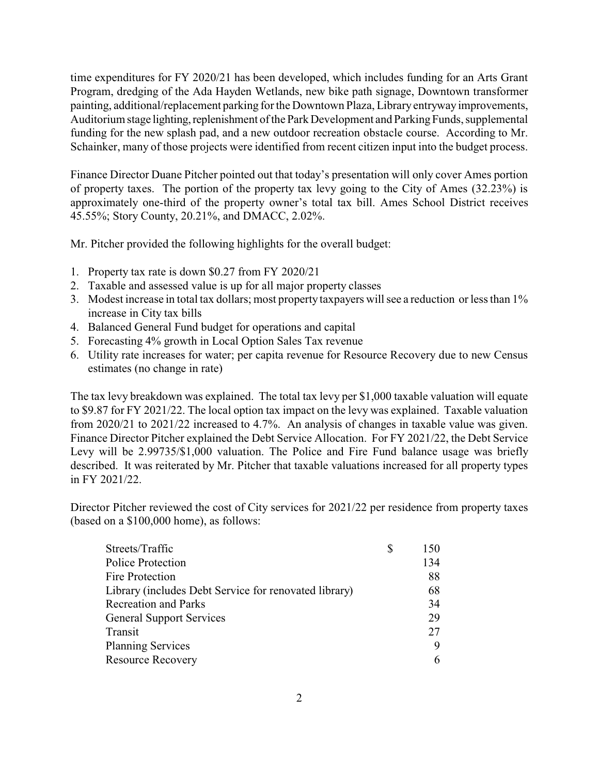time expenditures for FY 2020/21 has been developed, which includes funding for an Arts Grant Program, dredging of the Ada Hayden Wetlands, new bike path signage, Downtown transformer painting, additional/replacement parking for the Downtown Plaza, Library entryway improvements, Auditorium stage lighting, replenishment of the Park Development and Parking Funds, supplemental funding for the new splash pad, and a new outdoor recreation obstacle course. According to Mr. Schainker, many of those projects were identified from recent citizen input into the budget process.

Finance Director Duane Pitcher pointed out that today's presentation will only cover Ames portion of property taxes. The portion of the property tax levy going to the City of Ames (32.23%) is approximately one-third of the property owner's total tax bill. Ames School District receives 45.55%; Story County, 20.21%, and DMACC, 2.02%.

Mr. Pitcher provided the following highlights for the overall budget:

- 1. Property tax rate is down \$0.27 from FY 2020/21
- 2. Taxable and assessed value is up for all major property classes
- 3. Modest increase in total tax dollars; most property taxpayers will see a reduction or less than 1% increase in City tax bills
- 4. Balanced General Fund budget for operations and capital
- 5. Forecasting 4% growth in Local Option Sales Tax revenue
- 6. Utility rate increases for water; per capita revenue for Resource Recovery due to new Census estimates (no change in rate)

The tax levy breakdown was explained. The total tax levy per \$1,000 taxable valuation will equate to \$9.87 for FY 2021/22. The local option tax impact on the levy was explained. Taxable valuation from 2020/21 to 2021/22 increased to 4.7%. An analysis of changes in taxable value was given. Finance Director Pitcher explained the Debt Service Allocation. For FY 2021/22, the Debt Service Levy will be 2.99735/\$1,000 valuation. The Police and Fire Fund balance usage was briefly described. It was reiterated by Mr. Pitcher that taxable valuations increased for all property types in FY 2021/22.

Director Pitcher reviewed the cost of City services for 2021/22 per residence from property taxes (based on a \$100,000 home), as follows:

| 150 |
|-----|
| 134 |
| 88  |
| 68  |
| 34  |
| 29  |
| 27  |
| 9   |
| 6   |
|     |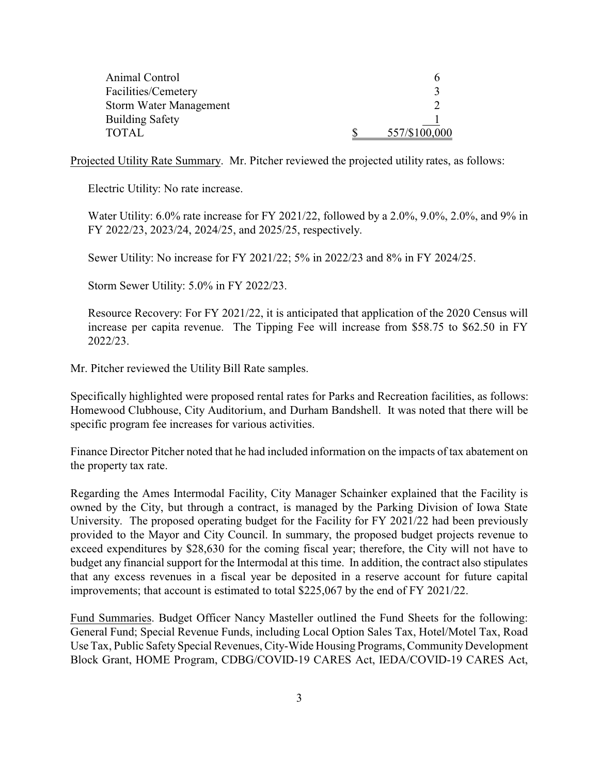| Animal Control                |               |
|-------------------------------|---------------|
| Facilities/Cemetery           |               |
| <b>Storm Water Management</b> |               |
| <b>Building Safety</b>        |               |
| TOTAL                         | 557/\$100,000 |

Projected Utility Rate Summary. Mr. Pitcher reviewed the projected utility rates, as follows:

Electric Utility: No rate increase.

Water Utility: 6.0% rate increase for FY 2021/22, followed by a 2.0%, 9.0%, 2.0%, and 9% in FY 2022/23, 2023/24, 2024/25, and 2025/25, respectively.

Sewer Utility: No increase for FY 2021/22; 5% in 2022/23 and 8% in FY 2024/25.

Storm Sewer Utility: 5.0% in FY 2022/23.

Resource Recovery: For FY 2021/22, it is anticipated that application of the 2020 Census will increase per capita revenue. The Tipping Fee will increase from \$58.75 to \$62.50 in FY 2022/23.

Mr. Pitcher reviewed the Utility Bill Rate samples.

Specifically highlighted were proposed rental rates for Parks and Recreation facilities, as follows: Homewood Clubhouse, City Auditorium, and Durham Bandshell. It was noted that there will be specific program fee increases for various activities.

Finance Director Pitcher noted that he had included information on the impacts of tax abatement on the property tax rate.

Regarding the Ames Intermodal Facility, City Manager Schainker explained that the Facility is owned by the City, but through a contract, is managed by the Parking Division of Iowa State University. The proposed operating budget for the Facility for FY 2021/22 had been previously provided to the Mayor and City Council. In summary, the proposed budget projects revenue to exceed expenditures by \$28,630 for the coming fiscal year; therefore, the City will not have to budget any financial support for the Intermodal at this time. In addition, the contract also stipulates that any excess revenues in a fiscal year be deposited in a reserve account for future capital improvements; that account is estimated to total \$225,067 by the end of FY 2021/22.

Fund Summaries. Budget Officer Nancy Masteller outlined the Fund Sheets for the following: General Fund; Special Revenue Funds, including Local Option Sales Tax, Hotel/Motel Tax, Road Use Tax, Public Safety Special Revenues, City-Wide Housing Programs, Community Development Block Grant, HOME Program, CDBG/COVID-19 CARES Act, IEDA/COVID-19 CARES Act,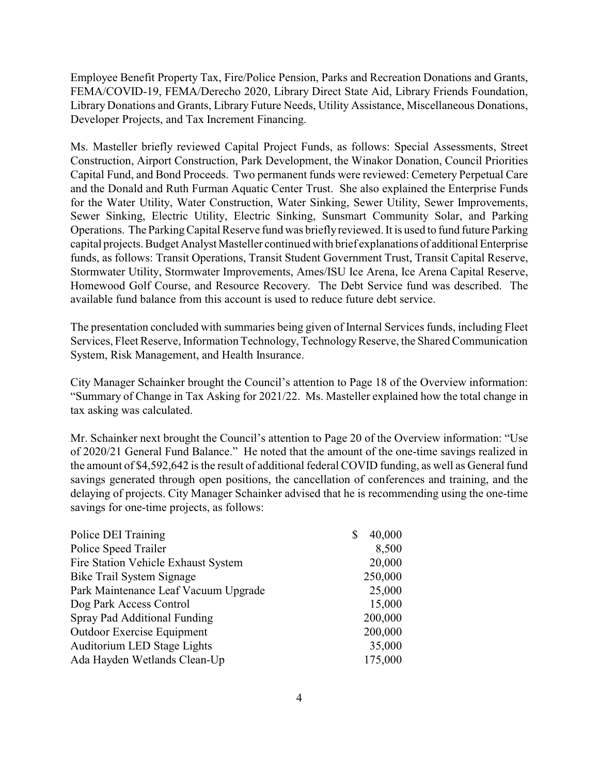Employee Benefit Property Tax, Fire/Police Pension, Parks and Recreation Donations and Grants, FEMA/COVID-19, FEMA/Derecho 2020, Library Direct State Aid, Library Friends Foundation, Library Donations and Grants, Library Future Needs, Utility Assistance, Miscellaneous Donations, Developer Projects, and Tax Increment Financing.

Ms. Masteller briefly reviewed Capital Project Funds, as follows: Special Assessments, Street Construction, Airport Construction, Park Development, the Winakor Donation, Council Priorities Capital Fund, and Bond Proceeds. Two permanent funds were reviewed: Cemetery Perpetual Care and the Donald and Ruth Furman Aquatic Center Trust. She also explained the Enterprise Funds for the Water Utility, Water Construction, Water Sinking, Sewer Utility, Sewer Improvements, Sewer Sinking, Electric Utility, Electric Sinking, Sunsmart Community Solar, and Parking Operations. The ParkingCapital Reserve fund was brieflyreviewed. It is used to fund future Parking capital projects. Budget Analyst Masteller continued with brief explanations of additional Enterprise funds, as follows: Transit Operations, Transit Student Government Trust, Transit Capital Reserve, Stormwater Utility, Stormwater Improvements, Ames/ISU Ice Arena, Ice Arena Capital Reserve, Homewood Golf Course, and Resource Recovery. The Debt Service fund was described. The available fund balance from this account is used to reduce future debt service.

The presentation concluded with summaries being given of Internal Services funds, including Fleet Services, Fleet Reserve, Information Technology, Technology Reserve, the Shared Communication System, Risk Management, and Health Insurance.

City Manager Schainker brought the Council's attention to Page 18 of the Overview information: "Summary of Change in Tax Asking for 2021/22. Ms. Masteller explained how the total change in tax asking was calculated.

Mr. Schainker next brought the Council's attention to Page 20 of the Overview information: "Use of 2020/21 General Fund Balance." He noted that the amount of the one-time savings realized in the amount of \$4,592,642 is the result of additional federal COVID funding, as well as General fund savings generated through open positions, the cancellation of conferences and training, and the delaying of projects. City Manager Schainker advised that he is recommending using the one-time savings for one-time projects, as follows:

| Police DEI Training                  | 40,000<br>\$ |
|--------------------------------------|--------------|
| Police Speed Trailer                 | 8,500        |
| Fire Station Vehicle Exhaust System  | 20,000       |
| Bike Trail System Signage            | 250,000      |
| Park Maintenance Leaf Vacuum Upgrade | 25,000       |
| Dog Park Access Control              | 15,000       |
| Spray Pad Additional Funding         | 200,000      |
| <b>Outdoor Exercise Equipment</b>    | 200,000      |
| Auditorium LED Stage Lights          | 35,000       |
| Ada Hayden Wetlands Clean-Up         | 175,000      |